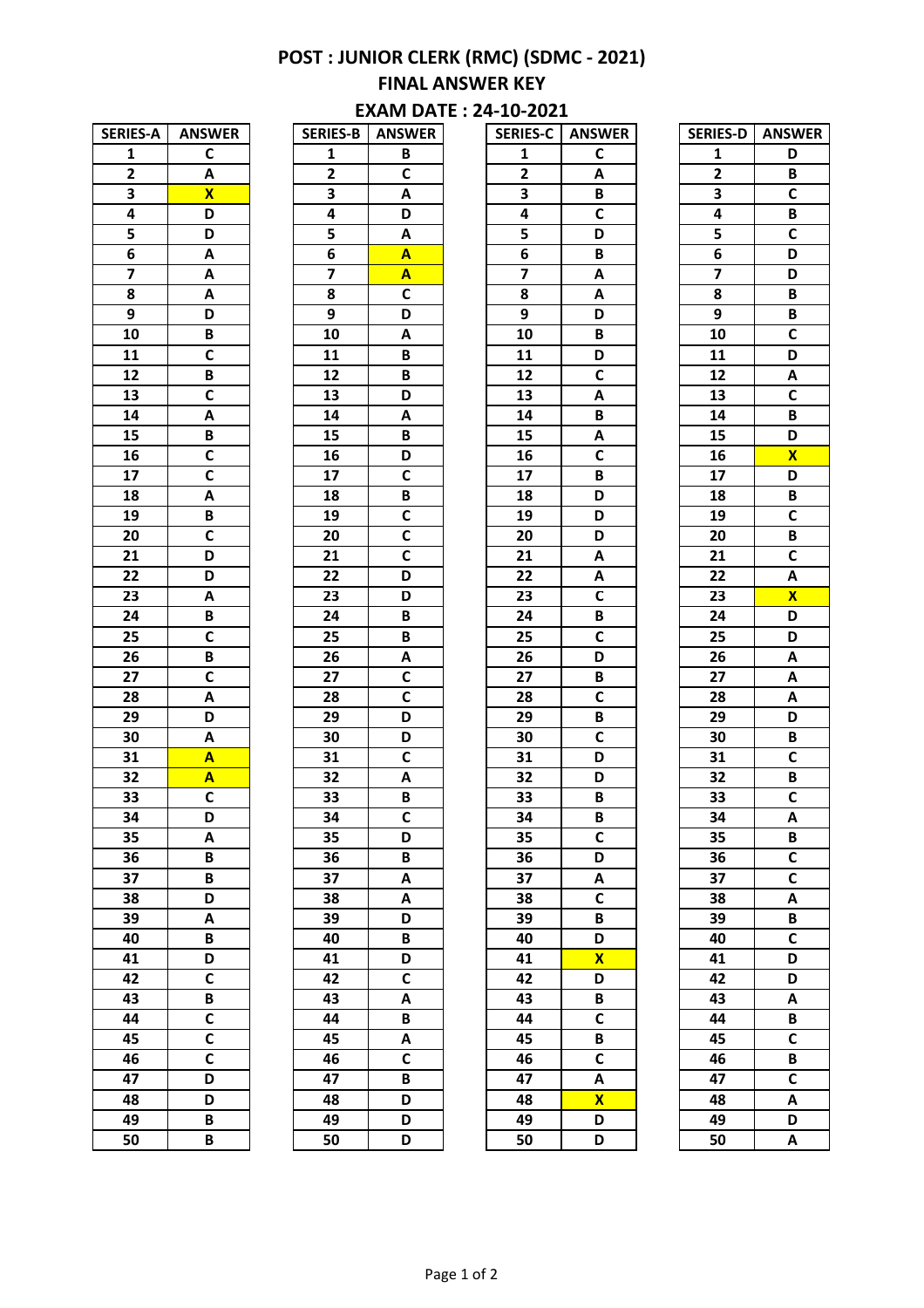## **POST : JUNIOR CLERK (RMC) (SDMC - 2021) FINAL ANSWER KEY EXAM DATE: 24-10-2021**

| <b>SERIES-A</b>         | <b>ANSWER</b>           |
|-------------------------|-------------------------|
| $\overline{\mathbf{1}}$ | C                       |
| $\overline{2}$          | A                       |
| 3                       | $\overline{\mathsf{x}}$ |
| 4                       | D                       |
| 5                       | D                       |
| 6                       | A                       |
| 7                       | A                       |
| 8                       | A                       |
| 9                       | $\overline{\mathsf{D}}$ |
| $1\bar{0}$              | B                       |
| $\overline{11}$         | $\overline{\mathsf{c}}$ |
| $\overline{12}$         | B                       |
| 13                      | $\mathsf{C}$            |
| $\overline{14}$         | $\overline{\mathsf{A}}$ |
| $\overline{15}$         | B                       |
| 16                      | $\overline{\mathsf{c}}$ |
| $\overline{17}$         | $\overline{\mathsf{c}}$ |
| 18                      | A                       |
| 19                      | B                       |
| 20                      | $\overline{c}$          |
| $\overline{21}$         | $\overline{\mathsf{D}}$ |
| $2\overline{2}$         | $\overline{\mathsf{D}}$ |
| 23                      | A                       |
| 24                      | B                       |
| 25                      | C                       |
| 26                      | B                       |
| $\overline{27}$         | $\overline{\mathsf{c}}$ |
| $2\overline{8}$         | A                       |
| $\overline{29}$         | D                       |
| 30                      | Α                       |
| 31                      | Ā                       |
| 32                      | A                       |
| 33                      | $\overline{\mathsf{c}}$ |
| 34                      | D                       |
| 35                      | A                       |
| 36                      | B                       |
| 37                      | B                       |
| 38                      | D                       |
| 39                      | A                       |
| 40                      | B                       |
| 41                      | D                       |
| $4\overline{2}$         | C                       |
| 43                      | B                       |
| 44                      | C                       |
| 45                      | $\overline{\mathsf{c}}$ |
| 46                      | $\overline{\mathsf{c}}$ |
| 47                      | D                       |
| 48                      | D                       |
| 49                      | B                       |
| 50                      | R                       |

| <b>SERIES-B</b> | <b>ANSWER</b>           |
|-----------------|-------------------------|
| 1               | B                       |
| $\overline{2}$  | C                       |
| 3               | A                       |
| 4               | $\overline{\mathsf{D}}$ |
| 5               | A                       |
| 6               | A                       |
| 7               | A                       |
| 8               | C                       |
| $\overline{9}$  | D                       |
| $\overline{10}$ | $\overline{\mathsf{A}}$ |
| $\overline{11}$ | B                       |
| $\overline{12}$ | B                       |
| 13              | $\overline{\mathsf{D}}$ |
| 14              | A                       |
| $\overline{15}$ | B                       |
| $\overline{16}$ | D                       |
| $\overline{17}$ | $\overline{\mathsf{c}}$ |
| $\overline{18}$ | B                       |
| $\overline{19}$ | $\overline{c}$          |
| 20              | C                       |
| 21              | $\overline{\mathsf{c}}$ |
| 22              | D                       |
| $\overline{23}$ | D                       |
| $\overline{24}$ | B                       |
| $\overline{25}$ | $\overline{\mathsf{B}}$ |
| 26              | A                       |
| $\overline{27}$ | C                       |
| $\overline{28}$ | $\overline{\mathsf{c}}$ |
| 29              | D                       |
| 30              | D                       |
| 31              | $\overline{\mathbf{c}}$ |
| $\overline{32}$ | A                       |
| 33              | B                       |
| 34              | Ċ                       |
| 35              | D                       |
| 36              | B                       |
| 37              | A                       |
| 38              | A                       |
| 39              | D                       |
| 40              | B                       |
| 41              | D                       |
| $\overline{42}$ | $\overline{\mathsf{c}}$ |
| 43              | A                       |
| 44              | B                       |
| 45              | A                       |
| 46              | C                       |
| 47              | B                       |
| 48              | D                       |
| 49              | D                       |
| 50              | D                       |

| <b>SERIES-C</b> | <b>ANSWER</b>                |
|-----------------|------------------------------|
| 1               | C                            |
| $\overline{2}$  | A                            |
| 3               | B                            |
| 4               | $\overline{\mathsf{c}}$      |
| 5               | $\overline{\mathsf{D}}$      |
| 6               | $\overline{B}$               |
| 7               | A                            |
| 8               | A                            |
| $\overline{9}$  | D                            |
| $\overline{10}$ | $\overline{\mathsf{B}}$      |
| $\overline{11}$ | $\overline{\mathsf{D}}$      |
| $\overline{12}$ | $\overline{\mathsf{c}}$      |
| 13              | A                            |
| $\overline{14}$ | $\overline{\mathsf{B}}$      |
| 15              | A                            |
| $\overline{16}$ | $\overline{\mathsf{c}}$      |
| $\overline{17}$ | $\overline{B}$               |
| 18              | $\overline{\mathsf{D}}$      |
| $\overline{19}$ | D                            |
| 20              | D                            |
| $\overline{21}$ | A                            |
| 22              | A                            |
| $\overline{23}$ | $\overline{\mathsf{c}}$      |
| $\overline{24}$ |                              |
| $\overline{25}$ | B<br>$\overline{\mathsf{c}}$ |
|                 | D                            |
| 26              |                              |
| $\overline{27}$ | B                            |
| 28              | $\overline{\mathsf{c}}$      |
| 29              | B                            |
| 30              | $\overline{\mathbf{c}}$      |
| 31              | D                            |
| 32              | D                            |
| 33              | B                            |
| 34              | R                            |
| 35              | C                            |
| 36              | $\overline{\mathsf{D}}$      |
| 37              | A                            |
| 38              | C                            |
| 39              | B                            |
| 40              | D                            |
| 41              | X                            |
| $\overline{42}$ | D                            |
| 43              | B                            |
| 44              | C                            |
| 45              | B                            |
| 46              | C                            |
| 47              | A                            |
| 48              | X                            |
| 49              | D                            |
| 50              | D                            |
|                 |                              |

| <b>SERIES-D</b> | <b>ANSWER</b>           |
|-----------------|-------------------------|
| 1               | D                       |
| 2               | B                       |
| 3               | $\overline{\mathbf{c}}$ |
| 4               | B                       |
| 5               | $\overline{\mathsf{c}}$ |
| 6               | D                       |
| 7               | D                       |
| 8               | B                       |
| 9               | B                       |
| 10              | C                       |
| 11              | D                       |
| $\overline{12}$ | A                       |
| $\overline{13}$ | $\overline{\mathsf{c}}$ |
| 14              | B                       |
| 15              | D                       |
| 16              | X                       |
| $\overline{17}$ | D                       |
| $\overline{18}$ | B                       |
| 19              | $\overline{\mathsf{c}}$ |
| 20              | B                       |
| 21              | C                       |
| 22              | A                       |
| $\overline{23}$ | $\overline{\mathbf{x}}$ |
| 24              | D                       |
| 25              | D                       |
| 26              | A                       |
| 27              | A                       |
| 28              | A                       |
| 29              | D                       |
| 30              | B                       |
| 31              | C                       |
| 32              | B                       |
| 33              | $\overline{\mathsf{c}}$ |
| 34              | A                       |
| 35              | B                       |
| 36              | C                       |
| 37              | C                       |
| 38              | A                       |
| 39              | B                       |
| 40              | $\overline{\mathsf{c}}$ |
| 41              | D                       |
| $\overline{42}$ | D                       |
| 43              | A                       |
| 44              | B                       |
| 45              | C                       |
|                 | B                       |
| 46              |                         |
| 47              | C                       |
| 48              | A                       |
| 49              | D                       |
| 50              | A                       |